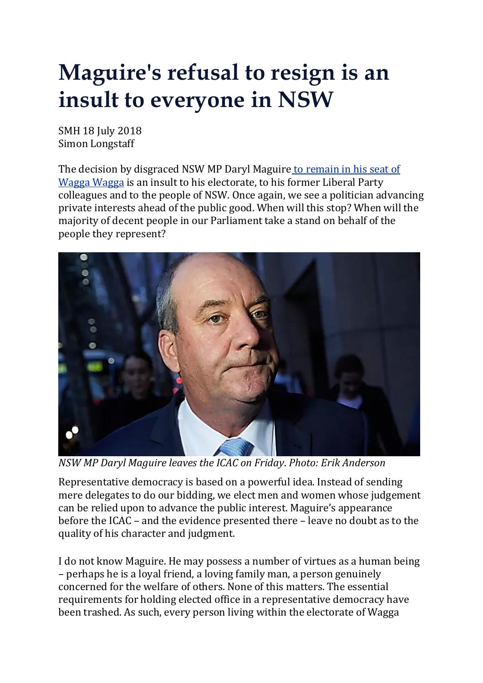## **Maguire's refusal to resign is an insult to everyone in NSW**

SMH 18 July 2018 Simon Longstaff

The decision by disgraced NSW MP Daryl Maguire to [remain](https://www.smh.com.au/link/follow-20170101-p4zrqf) in his seat of [Wagga](https://www.smh.com.au/link/follow-20170101-p4zrqf) Wagga is an insult to his electorate, to his former Liberal Party colleagues and to the people of NSW. Once again, we see a politician advancing private interests ahead of the public good. When will this stop? When will the majority of decent people in our Parliament take a stand on behalf of the people they represent?



*NSW MP Daryl Maguire leaves the ICAC on Friday*. *Photo: Erik Anderson*

Representative democracy is based on a powerful idea. Instead of sending mere delegates to do our bidding, we elect men and women whose judgement can be relied upon to advance the public interest. Maguire's appearance before the ICAC – and the evidence presented there – leave no doubt as to the quality of his character and judgment.

I do not know Maguire. He may possess a number of virtues as a human being – perhaps he is a loyal friend, a loving family man, a person genuinely concerned for the welfare of others. None of this matters. The essential requirements for holding elected office in a representative democracy have been trashed. As such, every person living within the electorate of Wagga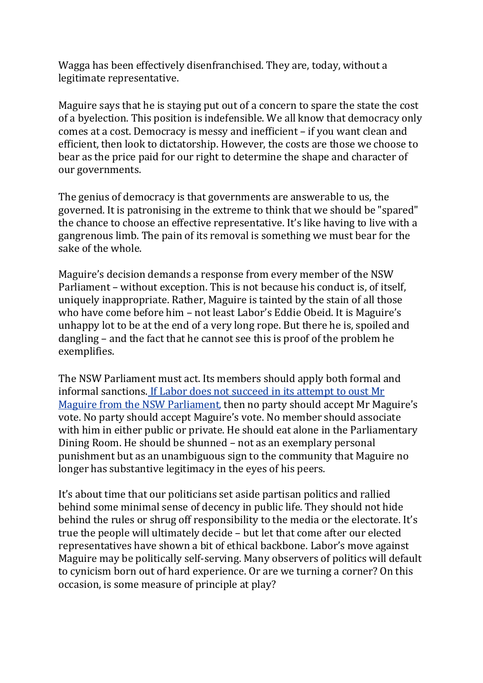Wagga has been effectively disenfranchised. They are, today, without a legitimate representative.

Maguire says that he is staying put out of a concern to spare the state the cost of a byelection. This position is indefensible. We all know that democracy only comes at a cost. Democracy is messy and inefficient – if you want clean and efficient, then look to dictatorship. However, the costs are those we choose to bear as the price paid for our right to determine the shape and character of our governments.

The genius of democracy is that governments are answerable to us, the governed. It is patronising in the extreme to think that we should be "spared" the chance to choose an effective representative. It's like having to live with a gangrenous limb. The pain of its removal is something we must bear for the sake of the whole.

Maguire's decision demands a response from every member of the NSW Parliament – without exception. This is not because his conduct is, of itself, uniquely inappropriate. Rather, Maguire is tainted by the stain of all those who have come before him – not least Labor's Eddie Obeid. It is Maguire's unhappy lot to be at the end of a very long rope. But there he is, spoiled and dangling – and the fact that he cannot see this is proof of the problem he exemplifies.

The NSW Parliament must act. Its members should apply both formal and informal sanctions. If Labor does not [succeed](https://www.smh.com.au/link/follow-20170101-p4zs4q) in its attempt to oust Mr Maguire from the NSW [Parliament,](https://www.smh.com.au/link/follow-20170101-p4zs4q) then no party should accept Mr Maguire's vote. No party should accept Maguire's vote. No member should associate with him in either public or private. He should eat alone in the Parliamentary Dining Room. He should be shunned – not as an exemplary personal punishment but as an unambiguous sign to the community that Maguire no longer has substantive legitimacy in the eyes of his peers.

It's about time that our politicians set aside partisan politics and rallied behind some minimal sense of decency in public life. They should not hide behind the rules or shrug off responsibility to the media or the electorate. It's true the people will ultimately decide – but let that come after our elected representatives have shown a bit of ethical backbone. Labor's move against Maguire may be politically self-serving. Many observers of politics will default to cynicism born out of hard experience. Or are we turning a corner? On this occasion, is some measure of principle at play?